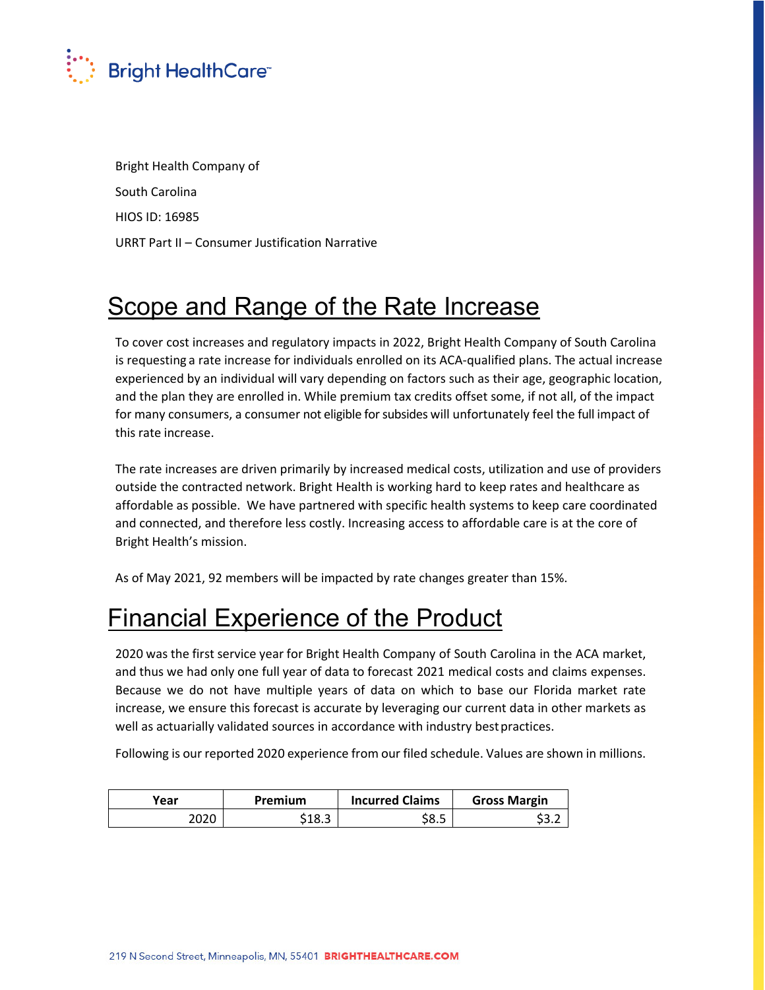

Bright Health Company of South Carolina HIOS ID: 16985 URRT Part II – Consumer Justification Narrative

## Scope and Range of the Rate Increase

To cover cost increases and regulatory impacts in 2022, Bright Health Company of South Carolina is requesting a rate increase for individuals enrolled on its ACA‐qualified plans. The actual increase experienced by an individual will vary depending on factors such as their age, geographic location, and the plan they are enrolled in. While premium tax credits offset some, if not all, of the impact for many consumers, a consumer not eligible for subsides will unfortunately feel the full impact of this rate increase.

The rate increases are driven primarily by increased medical costs, utilization and use of providers outside the contracted network. Bright Health is working hard to keep rates and healthcare as affordable as possible. We have partnered with specific health systems to keep care coordinated and connected, and therefore less costly. Increasing access to affordable care is at the core of Bright Health's mission.

As of May 2021, 92 members will be impacted by rate changes greater than 15%.

# Financial Experience of the Product

2020 was the first service year for Bright Health Company of South Carolina in the ACA market, and thus we had only one full year of data to forecast 2021 medical costs and claims expenses. Because we do not have multiple years of data on which to base our Florida market rate increase, we ensure this forecast is accurate by leveraging our current data in other markets as well as actuarially validated sources in accordance with industry best practices.

Following is our reported 2020 experience from our filed schedule. Values are shown in millions.

| Year | <b>Premium</b> | <b>Incurred Claims</b> | <b>Gross Margin</b> |
|------|----------------|------------------------|---------------------|
| 2020 | \$18.3         | S8.5                   | ے.ر ت               |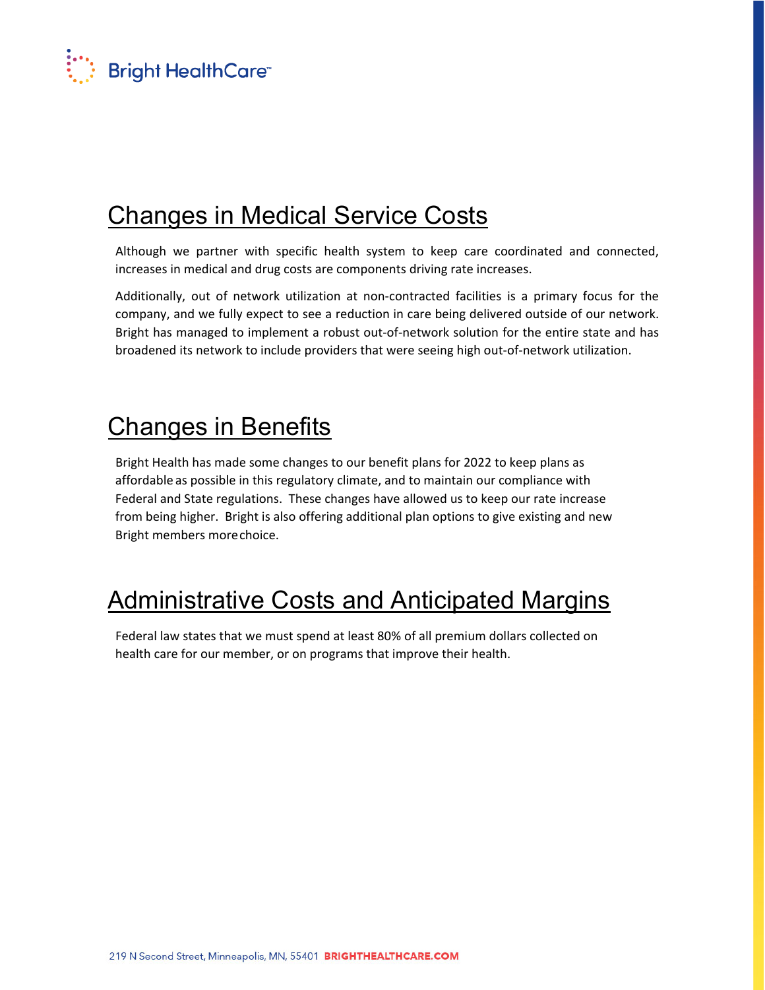

## Changes in Medical Service Costs

Although we partner with specific health system to keep care coordinated and connected, increases in medical and drug costs are components driving rate increases.

Additionally, out of network utilization at non‐contracted facilities is a primary focus for the company, and we fully expect to see a reduction in care being delivered outside of our network. Bright has managed to implement a robust out‐of‐network solution for the entire state and has broadened its network to include providers that were seeing high out‐of‐network utilization.

### Changes in Benefits

Bright Health has made some changes to our benefit plans for 2022 to keep plans as affordable as possible in this regulatory climate, and to maintain our compliance with Federal and State regulations. These changes have allowed us to keep our rate increase from being higher. Bright is also offering additional plan options to give existing and new Bright members morechoice.

## Administrative Costs and Anticipated Margins

Federal law states that we must spend at least 80% of all premium dollars collected on health care for our member, or on programs that improve their health.